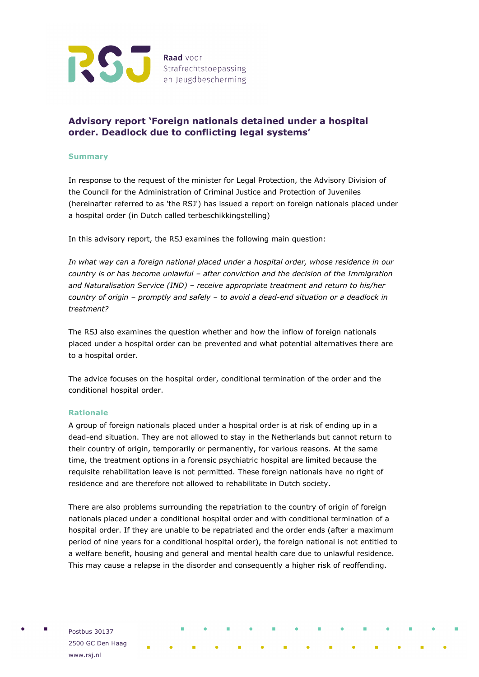

# **Advisory report 'Foreign nationals detained under a hospital order. Deadlock due to conflicting legal systems'**

## **Summary**

In response to the request of the minister for Legal Protection, the Advisory Division of the Council for the Administration of Criminal Justice and Protection of Juveniles (hereinafter referred to as 'the RSJ') has issued a report on foreign nationals placed under a hospital order (in Dutch called terbeschikkingstelling)

In this advisory report, the RSJ examines the following main question:

*In what way can a foreign national placed under a hospital order, whose residence in our country is or has become unlawful – after conviction and the decision of the Immigration and Naturalisation Service (IND) – receive appropriate treatment and return to his/her country of origin – promptly and safely – to avoid a dead-end situation or a deadlock in treatment?*

The RSJ also examines the question whether and how the inflow of foreign nationals placed under a hospital order can be prevented and what potential alternatives there are to a hospital order.

The advice focuses on the hospital order, conditional termination of the order and the conditional hospital order.

## **Rationale**

A group of foreign nationals placed under a hospital order is at risk of ending up in a dead-end situation. They are not allowed to stay in the Netherlands but cannot return to their country of origin, temporarily or permanently, for various reasons. At the same time, the treatment options in a forensic psychiatric hospital are limited because the requisite rehabilitation leave is not permitted. These foreign nationals have no right of residence and are therefore not allowed to rehabilitate in Dutch society.

There are also problems surrounding the repatriation to the country of origin of foreign nationals placed under a conditional hospital order and with conditional termination of a hospital order. If they are unable to be repatriated and the order ends (after a maximum period of nine years for a conditional hospital order), the foreign national is not entitled to a welfare benefit, housing and general and mental health care due to unlawful residence. This may cause a relapse in the disorder and consequently a higher risk of reoffending.

Postbus 30137 2500 GC Den Haag www.rsj.nl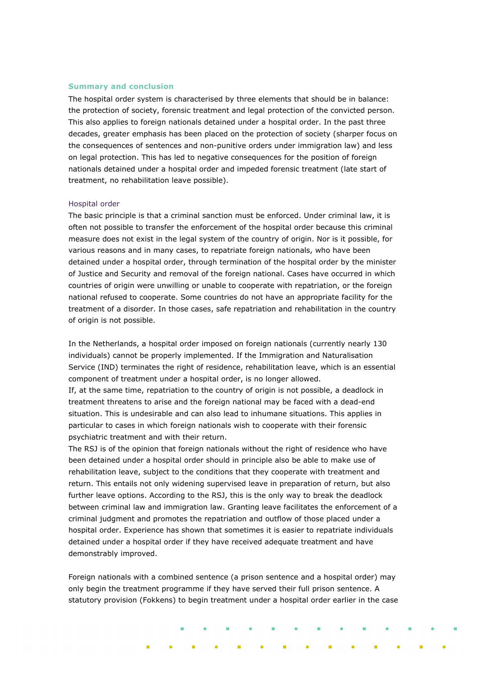#### **Summary and conclusion**

The hospital order system is characterised by three elements that should be in balance: the protection of society, forensic treatment and legal protection of the convicted person. This also applies to foreign nationals detained under a hospital order. In the past three decades, greater emphasis has been placed on the protection of society (sharper focus on the consequences of sentences and non-punitive orders under immigration law) and less on legal protection. This has led to negative consequences for the position of foreign nationals detained under a hospital order and impeded forensic treatment (late start of treatment, no rehabilitation leave possible).

#### Hospital order

The basic principle is that a criminal sanction must be enforced. Under criminal law, it is often not possible to transfer the enforcement of the hospital order because this criminal measure does not exist in the legal system of the country of origin. Nor is it possible, for various reasons and in many cases, to repatriate foreign nationals, who have been detained under a hospital order, through termination of the hospital order by the minister of Justice and Security and removal of the foreign national. Cases have occurred in which countries of origin were unwilling or unable to cooperate with repatriation, or the foreign national refused to cooperate. Some countries do not have an appropriate facility for the treatment of a disorder. In those cases, safe repatriation and rehabilitation in the country of origin is not possible.

In the Netherlands, a hospital order imposed on foreign nationals (currently nearly 130 individuals) cannot be properly implemented. If the Immigration and Naturalisation Service (IND) terminates the right of residence, rehabilitation leave, which is an essential component of treatment under a hospital order, is no longer allowed.

If, at the same time, repatriation to the country of origin is not possible, a deadlock in treatment threatens to arise and the foreign national may be faced with a dead-end situation. This is undesirable and can also lead to inhumane situations. This applies in particular to cases in which foreign nationals wish to cooperate with their forensic psychiatric treatment and with their return.

The RSJ is of the opinion that foreign nationals without the right of residence who have been detained under a hospital order should in principle also be able to make use of rehabilitation leave, subject to the conditions that they cooperate with treatment and return. This entails not only widening supervised leave in preparation of return, but also further leave options. According to the RSJ, this is the only way to break the deadlock between criminal law and immigration law. Granting leave facilitates the enforcement of a criminal judgment and promotes the repatriation and outflow of those placed under a hospital order. Experience has shown that sometimes it is easier to repatriate individuals detained under a hospital order if they have received adequate treatment and have demonstrably improved.

Foreign nationals with a combined sentence (a prison sentence and a hospital order) may only begin the treatment programme if they have served their full prison sentence. A statutory provision (Fokkens) to begin treatment under a hospital order earlier in the case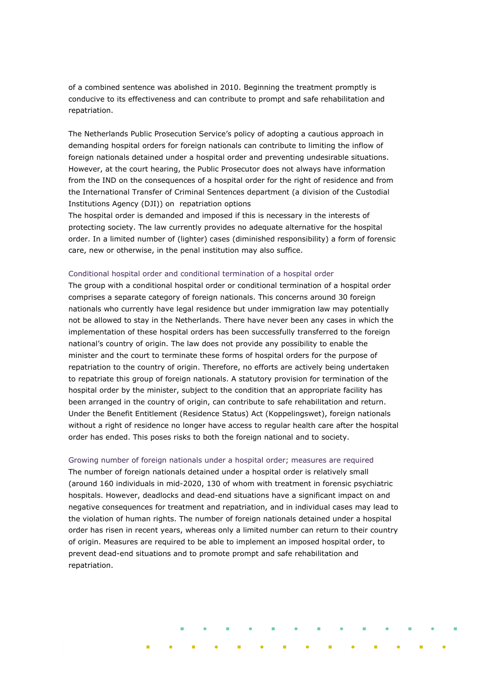of a combined sentence was abolished in 2010. Beginning the treatment promptly is conducive to its effectiveness and can contribute to prompt and safe rehabilitation and repatriation.

The Netherlands Public Prosecution Service's policy of adopting a cautious approach in demanding hospital orders for foreign nationals can contribute to limiting the inflow of foreign nationals detained under a hospital order and preventing undesirable situations. However, at the court hearing, the Public Prosecutor does not always have information from the IND on the consequences of a hospital order for the right of residence and from the International Transfer of Criminal Sentences department (a division of the Custodial Institutions Agency (DJI)) on repatriation options

The hospital order is demanded and imposed if this is necessary in the interests of protecting society. The law currently provides no adequate alternative for the hospital order. In a limited number of (lighter) cases (diminished responsibility) a form of forensic care, new or otherwise, in the penal institution may also suffice.

#### Conditional hospital order and conditional termination of a hospital order

The group with a conditional hospital order or conditional termination of a hospital order comprises a separate category of foreign nationals. This concerns around 30 foreign nationals who currently have legal residence but under immigration law may potentially not be allowed to stay in the Netherlands. There have never been any cases in which the implementation of these hospital orders has been successfully transferred to the foreign national's country of origin. The law does not provide any possibility to enable the minister and the court to terminate these forms of hospital orders for the purpose of repatriation to the country of origin. Therefore, no efforts are actively being undertaken to repatriate this group of foreign nationals. A statutory provision for termination of the hospital order by the minister, subject to the condition that an appropriate facility has been arranged in the country of origin, can contribute to safe rehabilitation and return. Under the Benefit Entitlement (Residence Status) Act (Koppelingswet), foreign nationals without a right of residence no longer have access to regular health care after the hospital order has ended. This poses risks to both the foreign national and to society.

#### Growing number of foreign nationals under a hospital order; measures are required

The number of foreign nationals detained under a hospital order is relatively small (around 160 individuals in mid-2020, 130 of whom with treatment in forensic psychiatric hospitals. However, deadlocks and dead-end situations have a significant impact on and negative consequences for treatment and repatriation, and in individual cases may lead to the violation of human rights. The number of foreign nationals detained under a hospital order has risen in recent years, whereas only a limited number can return to their country of origin. Measures are required to be able to implement an imposed hospital order, to prevent dead-end situations and to promote prompt and safe rehabilitation and repatriation.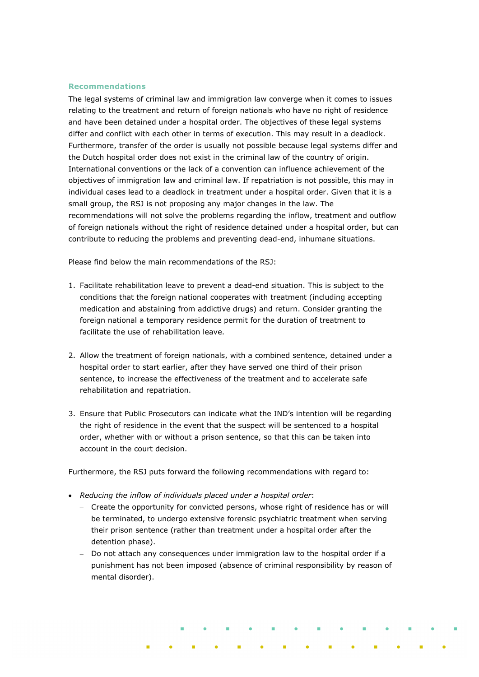### **Recommendations**

The legal systems of criminal law and immigration law converge when it comes to issues relating to the treatment and return of foreign nationals who have no right of residence and have been detained under a hospital order. The objectives of these legal systems differ and conflict with each other in terms of execution. This may result in a deadlock. Furthermore, transfer of the order is usually not possible because legal systems differ and the Dutch hospital order does not exist in the criminal law of the country of origin. International conventions or the lack of a convention can influence achievement of the objectives of immigration law and criminal law. If repatriation is not possible, this may in individual cases lead to a deadlock in treatment under a hospital order. Given that it is a small group, the RSJ is not proposing any major changes in the law. The recommendations will not solve the problems regarding the inflow, treatment and outflow of foreign nationals without the right of residence detained under a hospital order, but can contribute to reducing the problems and preventing dead-end, inhumane situations.

Please find below the main recommendations of the RSJ:

- 1. Facilitate rehabilitation leave to prevent a dead-end situation. This is subject to the conditions that the foreign national cooperates with treatment (including accepting medication and abstaining from addictive drugs) and return. Consider granting the foreign national a temporary residence permit for the duration of treatment to facilitate the use of rehabilitation leave.
- 2. Allow the treatment of foreign nationals, with a combined sentence, detained under a hospital order to start earlier, after they have served one third of their prison sentence, to increase the effectiveness of the treatment and to accelerate safe rehabilitation and repatriation.
- 3. Ensure that Public Prosecutors can indicate what the IND's intention will be regarding the right of residence in the event that the suspect will be sentenced to a hospital order, whether with or without a prison sentence, so that this can be taken into account in the court decision.

Furthermore, the RSJ puts forward the following recommendations with regard to:

- *Reducing the inflow of individuals placed under a hospital order*:
	- Create the opportunity for convicted persons, whose right of residence has or will be terminated, to undergo extensive forensic psychiatric treatment when serving their prison sentence (rather than treatment under a hospital order after the detention phase).
	- Do not attach any consequences under immigration law to the hospital order if a punishment has not been imposed (absence of criminal responsibility by reason of mental disorder).